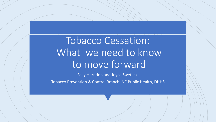# Tobacco Cessation: What we need to know to move forward

Sally Herndon and Joyce Swetlick, Tobacco Prevention & Control Branch, NC Public Health, DHHS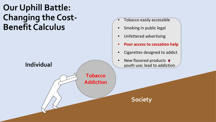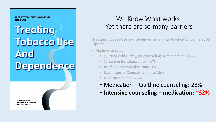**OUICK REFERENCE GUIDE FOR CLINICIANS** 2008 UPDATE

# **Treating Tobacco Use And** Dependence

**U.S. Department of Health and Human Services Public Health Service** 

#### We Know What works! Yet there are so many barriers

Treating Tobacco Use and Dependence: Clinical Practice Guideline 2008 Update:

- Abstinence rates:
	- Quitting cold turkey, no counseling or medication: <5%
	- Screening for tobacco use: ~6%
	- Brief advice from physician: 10%
	- Low intensity Counseling alone: 16%
	- Medication alone: 23%
	- Medication + Quitline counseling: 28%
	- **Intensive counseling + medication: ~32%**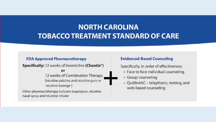#### **NORTH CAROLINA TOBACCO TREATMENT STANDARD OF CARE**

#### **FDA Approved Pharmacotherapy**

**Specifically:** 12 weeks of Varenicline (Chantix<sup>®</sup>)

or

12 weeks of Combination Therapy (nicotine patches and nicotine gum or nicotine lozenge)

Other pharmacotherapy includes bupropion, nicotine nasal spray and nicotine inhaler

#### **Evidenced-Based Counseling**

Specifically, in order of effectiveness:

- Face to face individual counseling
- Group counseling
- QuitlineNC telephonic, texting, and web-based counseling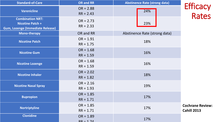| <b>Standard-of-Care</b>                                                                       | <b>OR and RR</b>           | <b>Abstinence Rate (strong data)</b> |                                               |
|-----------------------------------------------------------------------------------------------|----------------------------|--------------------------------------|-----------------------------------------------|
| <b>Varenicline</b>                                                                            | $OR = 2.88$<br>$RR = 2.43$ | 24%                                  | <b>Efficacy</b><br>Rates                      |
| <b>Combination NRT:</b><br><b>Nicotine Patch +</b><br><b>Gum, Lozenge (Immediate Release)</b> | $OR = 2.73$<br>$RR = 2.33$ | 23%                                  |                                               |
| <b>Mono-therapy</b>                                                                           | OR and RR                  | Abstinence Rate (strong data)        |                                               |
| <b>Nicotine Patch</b>                                                                         | $OR = 1.91$<br>$RR = 1.75$ | 18%                                  |                                               |
| <b>Nicotine Gum</b>                                                                           | $OR = 1.68$<br>$RR = 1.59$ | 16%                                  |                                               |
| <b>Nicotine Lozenge</b>                                                                       | $OR = 1.68$<br>$RR = 1.59$ | 16%                                  |                                               |
| <b>Nicotine Inhaler</b>                                                                       | $OR = 2.02$<br>$RR = 1.82$ | 18%                                  |                                               |
| <b>Nicotine Nasal Spray</b>                                                                   | $OR = 2.16$<br>$RR = 1.93$ | 19%                                  |                                               |
| <b>Bupropion</b>                                                                              | $OR = 1.85$<br>$RR = 1.71$ | 17%                                  |                                               |
| <b>Nortriptyline</b>                                                                          | $OR = 1.85$<br>$RR = 1.71$ | 17%                                  | <b>Cochrane Review:</b><br><b>Cahill 2013</b> |
| <b>Clonidine</b>                                                                              | $OR = 1.89$<br>$RR - 171$  | 17%                                  |                                               |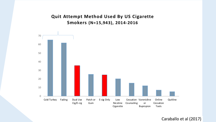#### Quit Attempt Method Used By US Cigarette Smokers (N=15,943), 2014-2016



Caraballo et al (2017)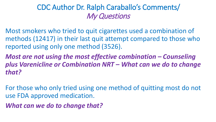#### CDC Author Dr. Ralph Caraballo's Comments/ My Questions

Most smokers who tried to quit cigarettes used a combination of methods (12417) in their last quit attempt compared to those who reported using only one method (3526).

*Most are not using the most effective combination – Counseling plus Varenicline or Combination NRT – What can we do to change that?* 

For those who only tried using one method of quitting most do not use FDA approved medication.

*What can we do to change that?*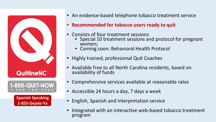

**Spanish Speaking 1***-***855-Dejelo-Ya**

- An evidence-based telephone tobacco treatment service
- **Recommended for tobacco users ready to quit**
- Consists of four treatment sessions
	- Special 10 treatment sessions and protocol for pregnant women;
	- Coming soon: Behavioral Health Protocol
- Highly trained, professional Quit Coaches
- Available free to all North Carolina residents, based on availability of funds
- Comprehensive services available at reasonable rates
- Accessible 24 hours a day, 7 days a week
- English, Spanish and interpretation service
- Integrated with an interactive web-based tobacco treatment program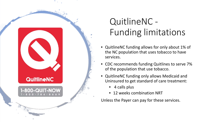

## QuitlineNC - Funding limitations

- QuitlineNC funding allows for only about 1% of the NC population that uses tobacco to have services.
- CDC recommends funding Quitlines to serve 7% of the population that use tobacco.
- QuitlineNC funding only allows Medicaid and Uninsured to get standard of care treatment:
	- 4 calls plus
	- 12 weeks combination NRT

Unless the Payer can pay for these services.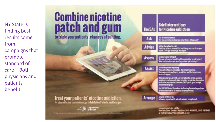NY State is finding best results come from campaigns that promote standard of care - Both physicians and patients benefit

### **Combine nicotine** patch and gum to triple your patients' chances of quitting.

#### Treat your patients' nicotine addiction. For other effective combinations, go to TalkTo YourPatients health my gov

**Brief Interventions** for Nicotine Addiction The 5As Ask about tobacco one:<br>"Do you corrently smoke or use other forms of tobacco?" Ask Advise the patient to quit:<br>"Quitting tobacco is one of the best things you can do her your<br>health. I strongly encourage you to quit." Advise Assets readine to to golf:<br>"Are you interested in quilting? Have you tried to quit before?<br>What methods have you used in previous quit attempts?" **Assess** Assist the patient in quitting:<br>Provide brief counseling about the risks of smoking,<br>the reveards and madialecks to quitting, and the importance **Assist** of social support When appropriate, provide a prescription for an FDA approved<br>smoking censation medication including asresicline, buyesplon,<br>ar nicoline replacement therapies (NRT: patch, gam, leavings, italer, nasal serai l See USPHS Clinical Guidelines for Treating Tabacco Dependence<br>for more information on medical lon effect henera. Arms gu for following. **Arrange** fellow up regularly with put only who are trying to quit. For additional help, call the Now York State Smokers' Quittine (866) NY QUITS, (866) 6978487 or visit TalkToYourPatients health.ny gov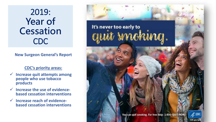### 2019: **Year of Cessation**  CDC

#### **New Surgeon General's Report**

#### **CDC's priority areas:**

- **Increase quit attempts among people who use tobacco products**
- **Increase the use of evidence- based cessation interventions**
- **Increase reach of evidence- based cessation interventions**

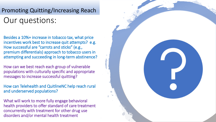### Our questions: Promoting Quitting/Increasing Reach

Besides a 10%+ increase in tobacco tax, what price incentives work best to increase quit attempts? e.g. How successful are "carrots and sticks" (e.g., premium differentials) approach to tobacco users in attempting and succeeding in long-term abstinence?

How can we best reach each group of vulnerable populations with culturally specific and appropriate messages to increase successful quitting?

How can Telehealth and QuitlineNC help reach rural and underserved populations?

What will work to more fully engage behavioral health providers to offer standard of care treatment concurrently with treatment for other drug use disorders and/or mental health treatment

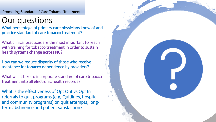Promoting Standard of Care Tobacco Treatment

### Our questions

What percentage of primary care physicians know of and practice standard of care tobacco treatment?

What clinical practices are the most important to reach with training for tobacco treatment in order to sustain health systems change across NC?

How can we reduce disparity of those who receive assistance for tobacco dependence by providers?

What will it take to incorporate standard of care tobacco treatment into all electronic health records?

What is the effectiveness of Opt Out vs Opt In referrals to quit programs (e.g, Quitlines, hospital and community programs) on quit attempts, longterm abstinence and patient satisfaction?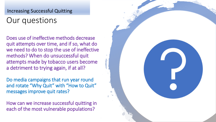#### Increasing Successful Quitting

### Our questions

Does use of ineffective methods decrease quit attempts over time, and if so, what do we need to do to stop the use of ineffective methods? When do unsuccessful quit attempts made by tobacco users become a detriment to trying again, if at all?

Do media campaigns that run year round and rotate "Why Quit" with "How to Quit" messages improve quit rates?

How can we increase successful quitting in each of the most vulnerable populations?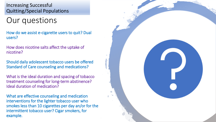Increasing Successful Quitting/Special Populations

### Our questions

How do we assist e-cigarette users to quit? Dual users?

How does nicotine salts affect the uptake of nicotine?

Should daily adolescent tobacco users be offered Standard of Care counseling and medications?

What is the ideal duration and spacing of tobacco treatment counseling for long-term abstinence? Ideal duration of medication?

What are effective counseling and medication interventions for the lighter tobacco user who smokes less than 10 cigarettes per day an/or for the intermittent tobacco user? Cigar smokers, for example.